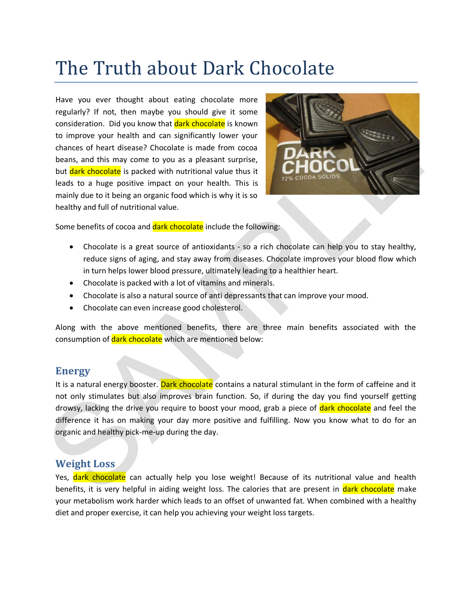## The Truth about Dark Chocolate

Have you ever thought about eating chocolate more regularly? If not, then maybe you should give it some consideration. Did you know that dark chocolate is known to improve your health and can significantly lower your chances of heart disease? Chocolate is made from cocoa beans, and this may come to you as a pleasant surprise, but dark chocolate is packed with nutritional value thus it leads to a huge positive impact on your health. This is mainly due to it being an organic food which is why it is so healthy and full of nutritional value.



Some benefits of cocoa and dark chocolate include the following:

- Chocolate is a great source of antioxidants so a rich chocolate can help you to stay healthy, reduce signs of aging, and stay away from diseases. Chocolate improves your blood flow which in turn helps lower blood pressure, ultimately leading to a healthier heart.
- Chocolate is packed with a lot of vitamins and minerals.
- Chocolate is also a natural source of anti depressants that can improve your mood.
- Chocolate can even increase good cholesterol.

Along with the above mentioned benefits, there are three main benefits associated with the consumption of dark chocolate which are mentioned below:

## **Energy**

It is a natural energy booster. Dark chocolate contains a natural stimulant in the form of caffeine and it not only stimulates but also improves brain function. So, if during the day you find yourself getting drowsy, lacking the drive you require to boost your mood, grab a piece of dark chocolate and feel the difference it has on making your day more positive and fulfilling. Now you know what to do for an organic and healthy pick-me-up during the day. The more work when the and an ignificantly lower you<br>
to misderation. Did you know that **Bark chocolate** is known<br>
to improve you head and figure change of the more of the more change of the<br>
the rate. Choosing a organ to

## **Weight Loss**

Yes, dark chocolate can actually help you lose weight! Because of its nutritional value and health benefits, it is very helpful in aiding weight loss. The calories that are present in dark chocolate make your metabolism work harder which leads to an offset of unwanted fat. When combined with a healthy diet and proper exercise, it can help you achieving your weight loss targets.